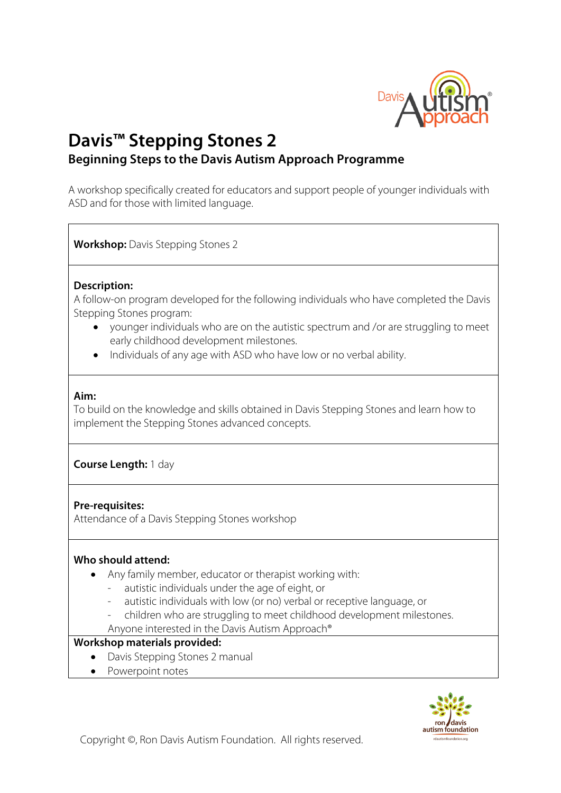

# **Davis™ Stepping Stones 2**

# **Beginning Steps to the Davis Autism Approach Programme**

A workshop specifically created for educators and support people of younger individuals with ASD and for those with limited language.

**Workshop:** Davis Stepping Stones 2

## **Description:**

A follow-on program developed for the following individuals who have completed the Davis Stepping Stones program:

- younger individuals who are on the autistic spectrum and /or are struggling to meet early childhood development milestones.
- Individuals of any age with ASD who have low or no verbal ability.

## **Aim:**

To build on the knowledge and skills obtained in Davis Stepping Stones and learn how to implement the Stepping Stones advanced concepts.

## **Course Length:** 1 day

## **Pre-requisites:**

Attendance of a Davis Stepping Stones workshop

## **Who should attend:**

- Any family member, educator or therapist working with:
	- autistic individuals under the age of eight, or
	- autistic individuals with low (or no) verbal or receptive language, or
	- children who are struggling to meet childhood development milestones.

Anyone interested in the Davis Autism Approach®

#### **Workshop materials provided:**

- Davis Stepping Stones 2 manual
- Powerpoint notes